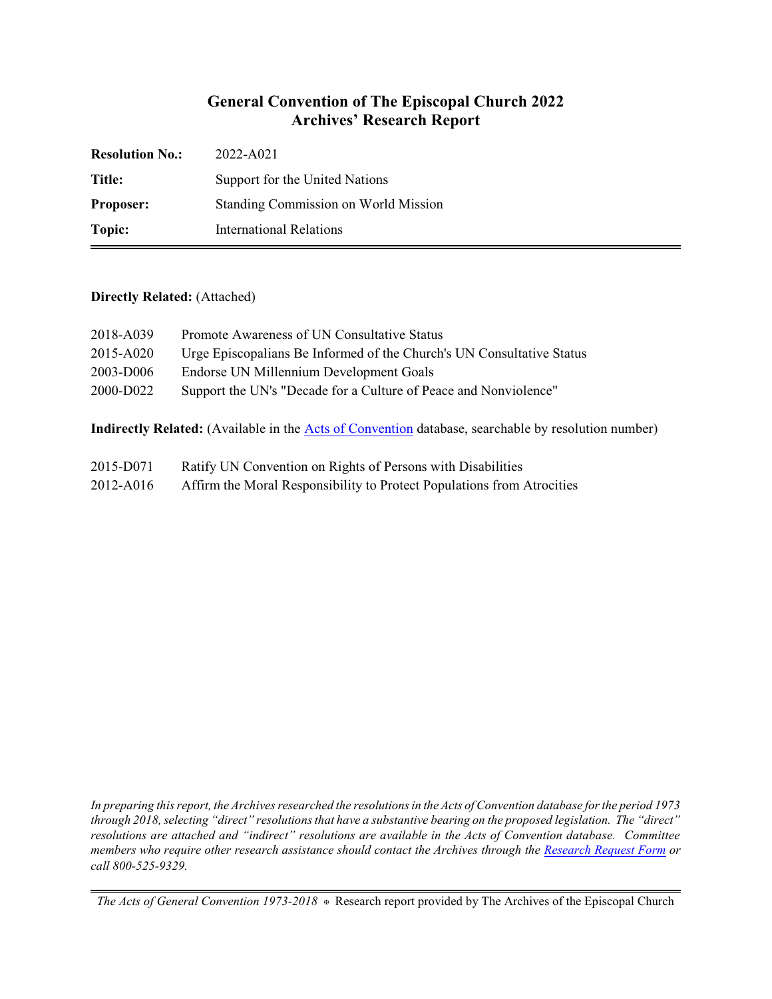## **General Convention of The Episcopal Church 2022 Archives' Research Report**

| <b>Resolution No.:</b> | 2022-A021                            |
|------------------------|--------------------------------------|
| Title:                 | Support for the United Nations       |
| <b>Proposer:</b>       | Standing Commission on World Mission |
| Topic:                 | International Relations              |

#### **Directly Related:** (Attached)

| 2018-A039 | Promote Awareness of UN Consultative Status                           |
|-----------|-----------------------------------------------------------------------|
| 2015-A020 | Urge Episcopalians Be Informed of the Church's UN Consultative Status |
| 2003-D006 | Endorse UN Millennium Development Goals                               |
| 2000-D022 | Support the UN's "Decade for a Culture of Peace and Nonviolence"      |
|           |                                                                       |

**Indirectly Related:** (Available in the [Acts of Convention](https://www.episcopalarchives.org/e-archives/acts/) database, searchable by resolution number)

- 2015-D071 Ratify UN Convention on Rights of Persons with Disabilities
- 2012-A016 Affirm the Moral Responsibility to Protect Populations from Atrocities

*In preparing this report, the Archives researched the resolutions in the Acts of Convention database for the period 1973 through 2018, selecting "direct" resolutions that have a substantive bearing on the proposed legislation. The "direct" resolutions are attached and "indirect" resolutions are available in the Acts of Convention database. Committee members who require other research assistance should contact the Archives through the Research [Request Form](https://www.episcopalarchives.org/contact/research-request-form) or call 800-525-9329.*

*The Acts of General Convention 1973-2018*  $*$  Research report provided by The Archives of the Episcopal Church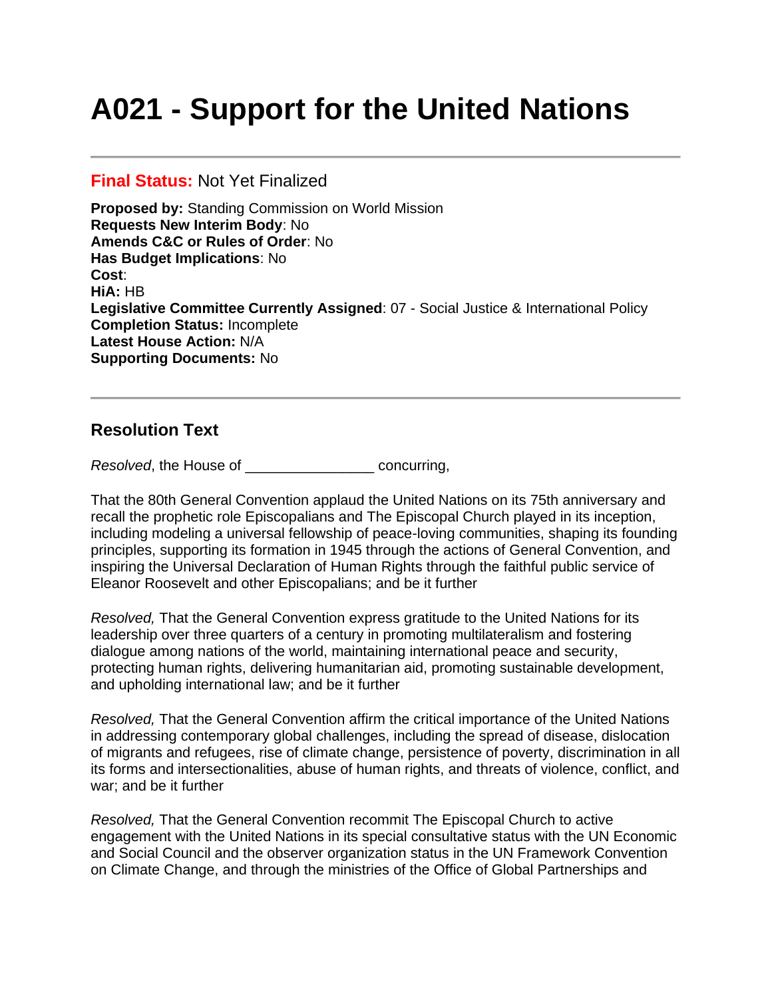# **A021 - Support for the United Nations**

#### **Final Status:** Not Yet Finalized

**Proposed by:** Standing Commission on World Mission **Requests New Interim Body**: No **Amends C&C or Rules of Order**: No **Has Budget Implications**: No **Cost**: **HiA:** HB **Legislative Committee Currently Assigned**: 07 - Social Justice & International Policy **Completion Status:** Incomplete **Latest House Action:** N/A **Supporting Documents:** No

### **Resolution Text**

*Resolved*, the House of \_\_\_\_\_\_\_\_\_\_\_\_\_\_\_\_ concurring,

That the 80th General Convention applaud the United Nations on its 75th anniversary and recall the prophetic role Episcopalians and The Episcopal Church played in its inception, including modeling a universal fellowship of peace-loving communities, shaping its founding principles, supporting its formation in 1945 through the actions of General Convention, and inspiring the Universal Declaration of Human Rights through the faithful public service of Eleanor Roosevelt and other Episcopalians; and be it further

*Resolved,* That the General Convention express gratitude to the United Nations for its leadership over three quarters of a century in promoting multilateralism and fostering dialogue among nations of the world, maintaining international peace and security, protecting human rights, delivering humanitarian aid, promoting sustainable development, and upholding international law; and be it further

*Resolved,* That the General Convention affirm the critical importance of the United Nations in addressing contemporary global challenges, including the spread of disease, dislocation of migrants and refugees, rise of climate change, persistence of poverty, discrimination in all its forms and intersectionalities, abuse of human rights, and threats of violence, conflict, and war; and be it further

*Resolved,* That the General Convention recommit The Episcopal Church to active engagement with the United Nations in its special consultative status with the UN Economic and Social Council and the observer organization status in the UN Framework Convention on Climate Change, and through the ministries of the Office of Global Partnerships and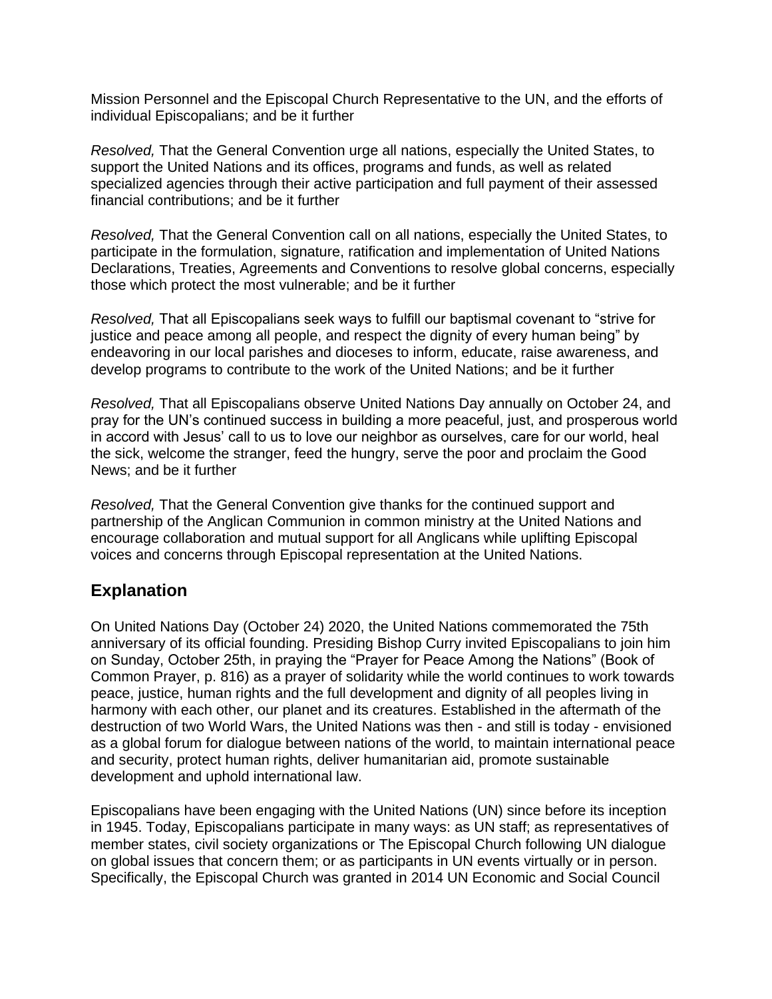Mission Personnel and the Episcopal Church Representative to the UN, and the efforts of individual Episcopalians; and be it further

*Resolved,* That the General Convention urge all nations, especially the United States, to support the United Nations and its offices, programs and funds, as well as related specialized agencies through their active participation and full payment of their assessed financial contributions; and be it further

*Resolved,* That the General Convention call on all nations, especially the United States, to participate in the formulation, signature, ratification and implementation of United Nations Declarations, Treaties, Agreements and Conventions to resolve global concerns, especially those which protect the most vulnerable; and be it further

*Resolved,* That all Episcopalians seek ways to fulfill our baptismal covenant to "strive for justice and peace among all people, and respect the dignity of every human being" by endeavoring in our local parishes and dioceses to inform, educate, raise awareness, and develop programs to contribute to the work of the United Nations; and be it further

*Resolved,* That all Episcopalians observe United Nations Day annually on October 24, and pray for the UN's continued success in building a more peaceful, just, and prosperous world in accord with Jesus' call to us to love our neighbor as ourselves, care for our world, heal the sick, welcome the stranger, feed the hungry, serve the poor and proclaim the Good News; and be it further

*Resolved,* That the General Convention give thanks for the continued support and partnership of the Anglican Communion in common ministry at the United Nations and encourage collaboration and mutual support for all Anglicans while uplifting Episcopal voices and concerns through Episcopal representation at the United Nations.

## **Explanation**

On United Nations Day (October 24) 2020, the United Nations commemorated the 75th anniversary of its official founding. Presiding Bishop Curry invited Episcopalians to join him on Sunday, October 25th, in praying the "Prayer for Peace Among the Nations" (Book of Common Prayer, p. 816) as a prayer of solidarity while the world continues to work towards peace, justice, human rights and the full development and dignity of all peoples living in harmony with each other, our planet and its creatures. Established in the aftermath of the destruction of two World Wars, the United Nations was then - and still is today - envisioned as a global forum for dialogue between nations of the world, to maintain international peace and security, protect human rights, deliver humanitarian aid, promote sustainable development and uphold international law.

Episcopalians have been engaging with the United Nations (UN) since before its inception in 1945. Today, Episcopalians participate in many ways: as UN staff; as representatives of member states, civil society organizations or The Episcopal Church following UN dialogue on global issues that concern them; or as participants in UN events virtually or in person. Specifically, the Episcopal Church was granted in 2014 UN Economic and Social Council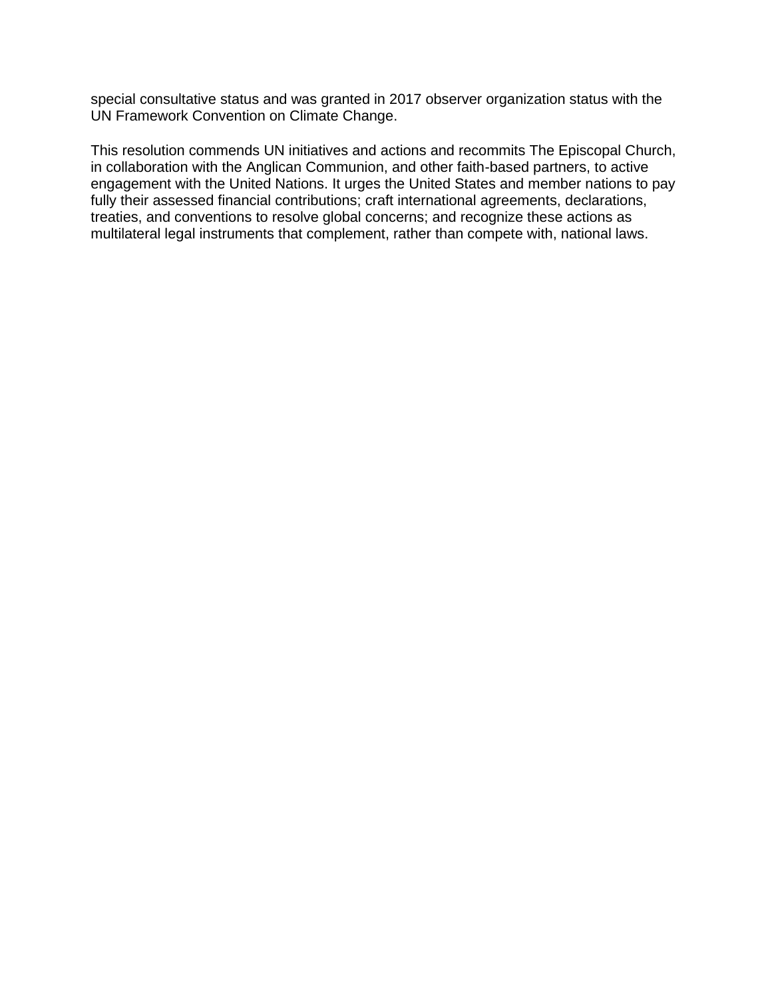special consultative status and was granted in 2017 observer organization status with the UN Framework Convention on Climate Change.

This resolution commends UN initiatives and actions and recommits The Episcopal Church, in collaboration with the Anglican Communion, and other faith-based partners, to active engagement with the United Nations. It urges the United States and member nations to pay fully their assessed financial contributions; craft international agreements, declarations, treaties, and conventions to resolve global concerns; and recognize these actions as multilateral legal instruments that complement, rather than compete with, national laws.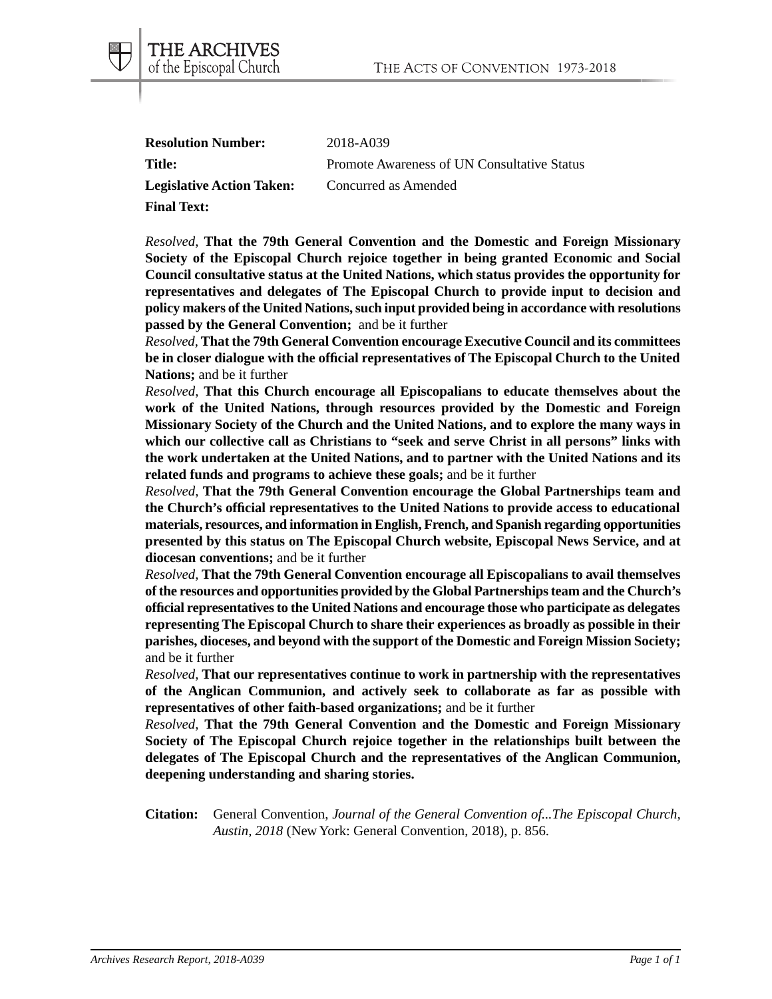| <b>Resolution Number:</b>        | 2018-A039                                   |
|----------------------------------|---------------------------------------------|
| <b>Title:</b>                    | Promote Awareness of UN Consultative Status |
| <b>Legislative Action Taken:</b> | Concurred as Amended                        |
| <b>Final Text:</b>               |                                             |

THE ARCHIVES of the Episcopal Church

*Resolved*, **That the 79th General Convention and the Domestic and Foreign Missionary Society of the Episcopal Church rejoice together in being granted Economic and Social Council consultative status at the United Nations, which status provides the opportunity for representatives and delegates of The Episcopal Church to provide input to decision and policy makers of the United Nations, such input provided being in accordance with resolutions passed by the General Convention;** and be it further

*Resolved*, **That the 79th General Convention encourage Executive Council and its committees be in closer dialogue with the official representatives of The Episcopal Church to the United Nations;** and be it further

*Resolved*, **That this Church encourage all Episcopalians to educate themselves about the work of the United Nations, through resources provided by the Domestic and Foreign Missionary Society of the Church and the United Nations, and to explore the many ways in which our collective call as Christians to "seek and serve Christ in all persons" links with the work undertaken at the United Nations, and to partner with the United Nations and its related funds and programs to achieve these goals;** and be it further

*Resolved*, **That the 79th General Convention encourage the Global Partnerships team and the Church's official representatives to the United Nations to provide access to educational materials, resources, and information in English, French, and Spanish regarding opportunities presented by this status on The Episcopal Church website, Episcopal News Service, and at diocesan conventions;** and be it further

*Resolved*, **That the 79th General Convention encourage all Episcopalians to avail themselves of the resources and opportunities provided by the Global Partnerships team and the Church's official representatives to the United Nations and encourage those who participate as delegates representing The Episcopal Church to share their experiences as broadly as possible in their parishes, dioceses, and beyond with the support of the Domestic and Foreign Mission Society;** and be it further

*Resolved*, **That our representatives continue to work in partnership with the representatives of the Anglican Communion, and actively seek to collaborate as far as possible with representatives of other faith-based organizations;** and be it further

*Resolved*, **That the 79th General Convention and the Domestic and Foreign Missionary Society of The Episcopal Church rejoice together in the relationships built between the delegates of The Episcopal Church and the representatives of the Anglican Communion, deepening understanding and sharing stories.**

**Citation:** General Convention, *Journal of the General Convention of...The Episcopal Church, Austin, 2018* (New York: General Convention, 2018), p. 856.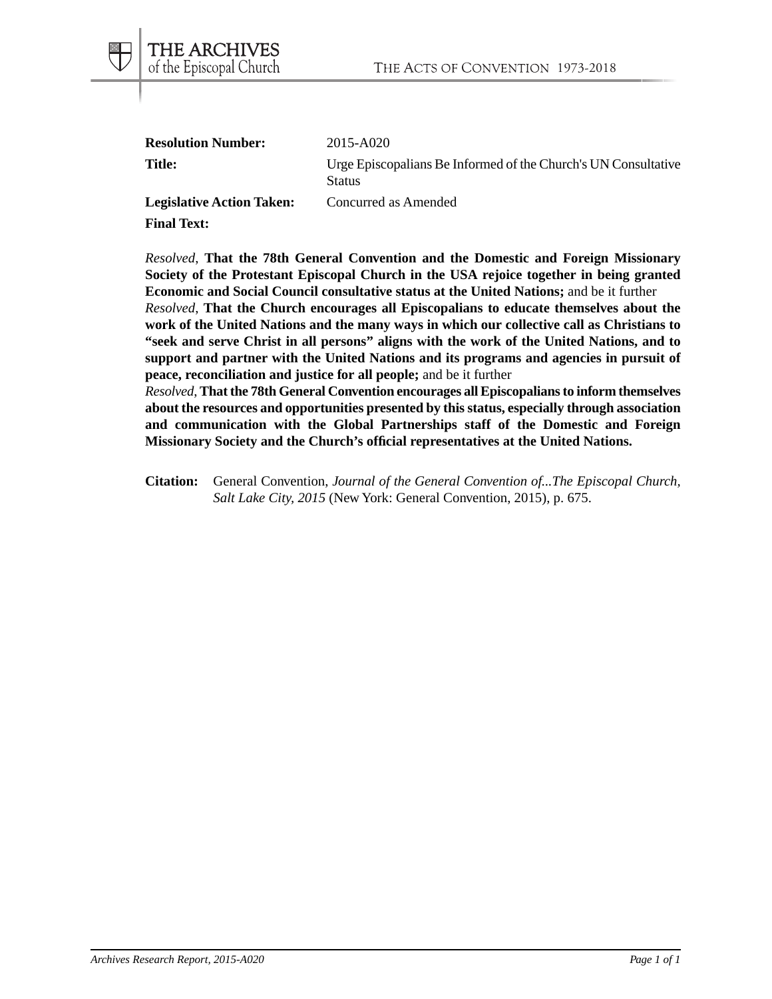| <b>Resolution Number:</b>        | 2015-A020                                                                       |
|----------------------------------|---------------------------------------------------------------------------------|
| <b>Title:</b>                    | Urge Episcopalians Be Informed of the Church's UN Consultative<br><b>Status</b> |
| <b>Legislative Action Taken:</b> | Concurred as Amended                                                            |

**Final Text:**

THE ARCHIVES of the Episcopal Church

*Resolved*, **That the 78th General Convention and the Domestic and Foreign Missionary Society of the Protestant Episcopal Church in the USA rejoice together in being granted Economic and Social Council consultative status at the United Nations;** and be it further *Resolved*, **That the Church encourages all Episcopalians to educate themselves about the work of the United Nations and the many ways in which our collective call as Christians to "seek and serve Christ in all persons" aligns with the work of the United Nations, and to support and partner with the United Nations and its programs and agencies in pursuit of peace, reconciliation and justice for all people;** and be it further

*Resolved*, **That the 78th General Convention encourages all Episcopalians to inform themselves about the resources and opportunities presented by this status, especially through association and communication with the Global Partnerships staff of the Domestic and Foreign Missionary Society and the Church's official representatives at the United Nations.**

**Citation:** General Convention, *Journal of the General Convention of...The Episcopal Church, Salt Lake City, 2015* (New York: General Convention, 2015), p. 675.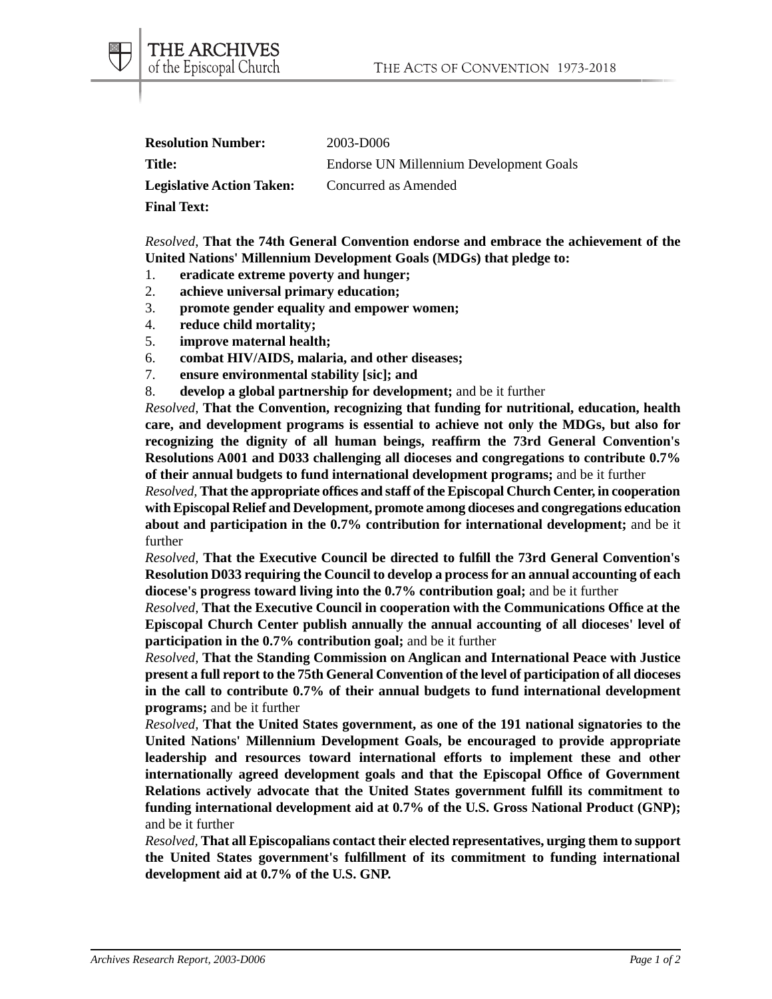| <b>Resolution Number:</b>        | 2003-D006                               |
|----------------------------------|-----------------------------------------|
| Title:                           | Endorse UN Millennium Development Goals |
| <b>Legislative Action Taken:</b> | Concurred as Amended                    |
| <b>Final Text:</b>               |                                         |

*Resolved*, **That the 74th General Convention endorse and embrace the achievement of the United Nations' Millennium Development Goals (MDGs) that pledge to:**

- 1. **eradicate extreme poverty and hunger;**
- 2. **achieve universal primary education;**
- 3. **promote gender equality and empower women;**
- 4. **reduce child mortality;**
- 5. **improve maternal health;**
- 6. **combat HIV/AIDS, malaria, and other diseases;**
- 7. **ensure environmental stability [sic]; and**
- 8. **develop a global partnership for development;** and be it further

*Resolved,* **That the Convention, recognizing that funding for nutritional, education, health care, and development programs is essential to achieve not only the MDGs, but also for recognizing the dignity of all human beings, reaffirm the 73rd General Convention's Resolutions A001 and D033 challenging all dioceses and congregations to contribute 0.7% of their annual budgets to fund international development programs;** and be it further

*Resolved,* **That the appropriate offices and staff of the Episcopal Church Center, in cooperation with Episcopal Relief and Development, promote among dioceses and congregations education about and participation in the 0.7% contribution for international development;** and be it further

*Resolved,* **That the Executive Council be directed to fulfill the 73rd General Convention's Resolution D033 requiring the Council to develop a process for an annual accounting of each diocese's progress toward living into the 0.7% contribution goal;** and be it further

*Resolved,* **That the Executive Council in cooperation with the Communications Office at the Episcopal Church Center publish annually the annual accounting of all dioceses' level of participation in the 0.7% contribution goal;** and be it further

*Resolved,* **That the Standing Commission on Anglican and International Peace with Justice present a full report to the 75th General Convention of the level of participation of all dioceses in the call to contribute 0.7% of their annual budgets to fund international development programs;** and be it further

*Resolved,* **That the United States government, as one of the 191 national signatories to the United Nations' Millennium Development Goals, be encouraged to provide appropriate leadership and resources toward international efforts to implement these and other internationally agreed development goals and that the Episcopal Office of Government Relations actively advocate that the United States government fulfill its commitment to funding international development aid at 0.7% of the U.S. Gross National Product (GNP);** and be it further

*Resolved,* **That all Episcopalians contact their elected representatives, urging them to support the United States government's fulfillment of its commitment to funding international development aid at 0.7% of the U.S. GNP.**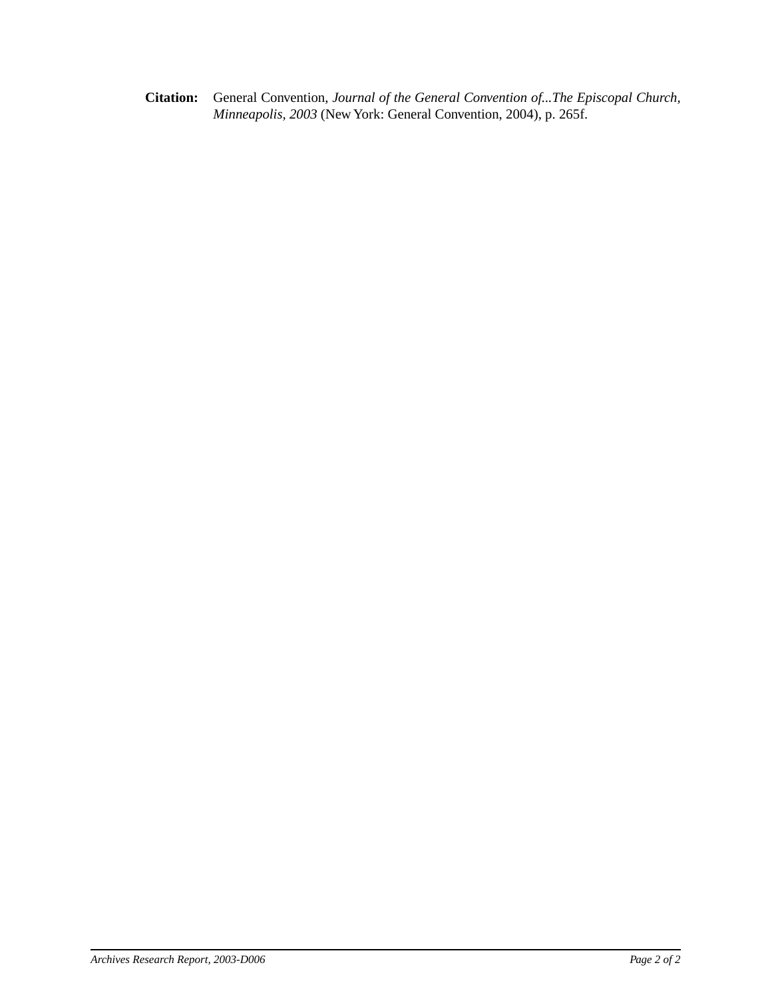**Citation:** General Convention, *Journal of the General Convention of...The Episcopal Church, Minneapolis, 2003* (New York: General Convention, 2004), p. 265f.